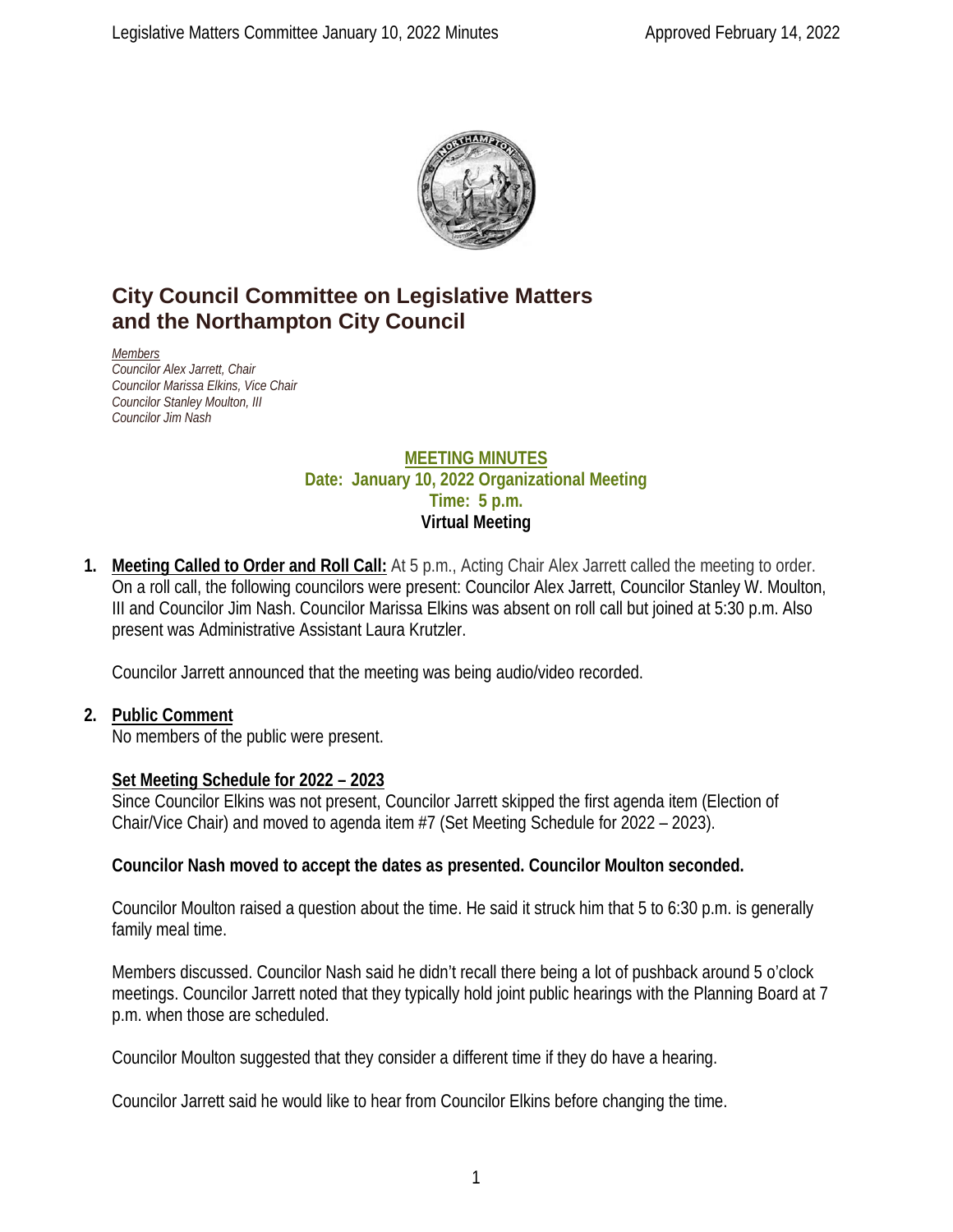

# **City Council Committee on Legislative Matters and the Northampton City Council**

*Members Councilor Alex Jarrett, Chair Councilor Marissa Elkins, Vice Chair Councilor Stanley Moulton, III Councilor Jim Nash*

#### **MEETING MINUTES Date: January 10, 2022 Organizational Meeting Time: 5 p.m. Virtual Meeting**

**1. Meeting Called to Order and Roll Call:** At 5 p.m., Acting Chair Alex Jarrett called the meeting to order. On a roll call, the following councilors were present: Councilor Alex Jarrett, Councilor Stanley W. Moulton, III and Councilor Jim Nash. Councilor Marissa Elkins was absent on roll call but joined at 5:30 p.m. Also present was Administrative Assistant Laura Krutzler.

Councilor Jarrett announced that the meeting was being audio/video recorded.

#### **2. Public Comment**

No members of the public were present.

# **Set Meeting Schedule for 2022 – 2023**

Since Councilor Elkins was not present, Councilor Jarrett skipped the first agenda item (Election of Chair/Vice Chair) and moved to agenda item #7 (Set Meeting Schedule for 2022 – 2023).

#### **Councilor Nash moved to accept the dates as presented. Councilor Moulton seconded.**

Councilor Moulton raised a question about the time. He said it struck him that 5 to 6:30 p.m. is generally family meal time.

Members discussed. Councilor Nash said he didn't recall there being a lot of pushback around 5 o'clock meetings. Councilor Jarrett noted that they typically hold joint public hearings with the Planning Board at 7 p.m. when those are scheduled.

Councilor Moulton suggested that they consider a different time if they do have a hearing.

Councilor Jarrett said he would like to hear from Councilor Elkins before changing the time.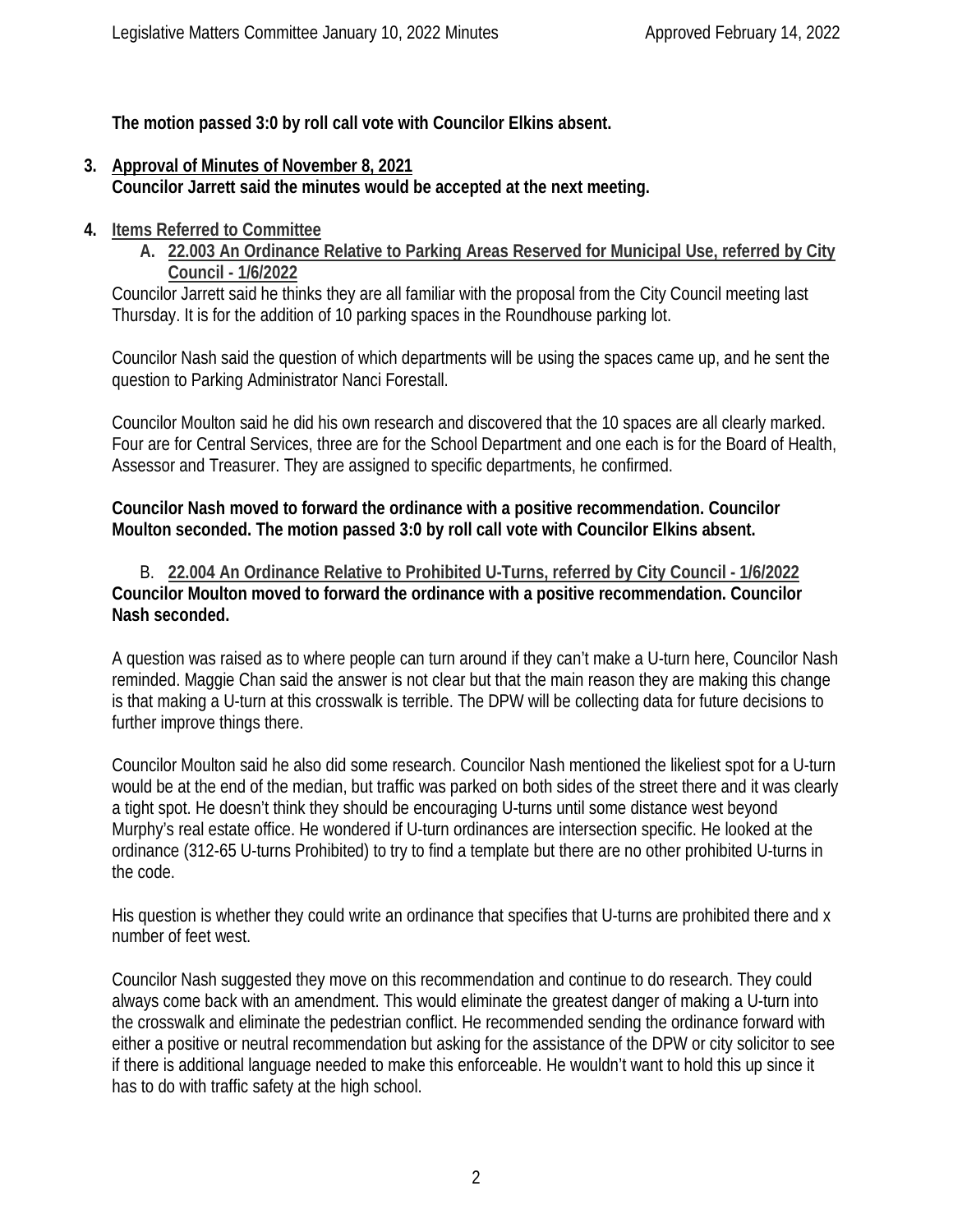**The motion passed 3:0 by roll call vote with Councilor Elkins absent.**

- **3. Approval of Minutes of November 8, 2021 Councilor Jarrett said the minutes would be accepted at the next meeting.**
- **4. Items Referred to Committee**

**A. 22.003 An Ordinance Relative to Parking Areas Reserved for Municipal Use, referred by City Council - 1/6/2022**

Councilor Jarrett said he thinks they are all familiar with the proposal from the City Council meeting last Thursday. It is for the addition of 10 parking spaces in the Roundhouse parking lot.

Councilor Nash said the question of which departments will be using the spaces came up, and he sent the question to Parking Administrator Nanci Forestall.

Councilor Moulton said he did his own research and discovered that the 10 spaces are all clearly marked. Four are for Central Services, three are for the School Department and one each is for the Board of Health, Assessor and Treasurer. They are assigned to specific departments, he confirmed.

**Councilor Nash moved to forward the ordinance with a positive recommendation. Councilor Moulton seconded. The motion passed 3:0 by roll call vote with Councilor Elkins absent.**

B. **22.004 An Ordinance Relative to Prohibited U-Turns, referred by City Council - 1/6/2022 Councilor Moulton moved to forward the ordinance with a positive recommendation. Councilor Nash seconded.**

A question was raised as to where people can turn around if they can't make a U-turn here, Councilor Nash reminded. Maggie Chan said the answer is not clear but that the main reason they are making this change is that making a U-turn at this crosswalk is terrible. The DPW will be collecting data for future decisions to further improve things there.

Councilor Moulton said he also did some research. Councilor Nash mentioned the likeliest spot for a U-turn would be at the end of the median, but traffic was parked on both sides of the street there and it was clearly a tight spot. He doesn't think they should be encouraging U-turns until some distance west beyond Murphy's real estate office. He wondered if U-turn ordinances are intersection specific. He looked at the ordinance (312-65 U-turns Prohibited) to try to find a template but there are no other prohibited U-turns in the code.

His question is whether they could write an ordinance that specifies that U-turns are prohibited there and x number of feet west.

Councilor Nash suggested they move on this recommendation and continue to do research. They could always come back with an amendment. This would eliminate the greatest danger of making a U-turn into the crosswalk and eliminate the pedestrian conflict. He recommended sending the ordinance forward with either a positive or neutral recommendation but asking for the assistance of the DPW or city solicitor to see if there is additional language needed to make this enforceable. He wouldn't want to hold this up since it has to do with traffic safety at the high school.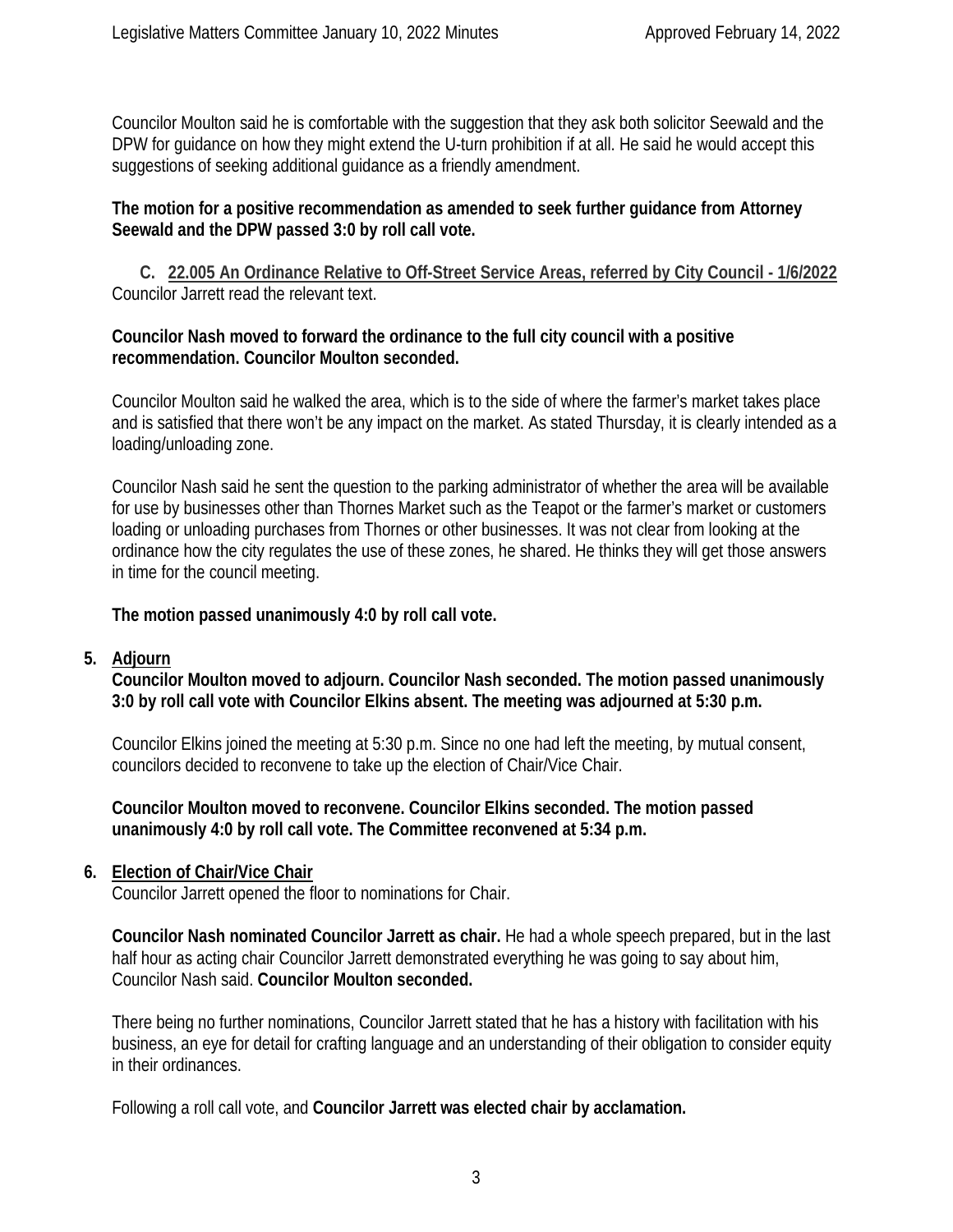Councilor Moulton said he is comfortable with the suggestion that they ask both solicitor Seewald and the DPW for guidance on how they might extend the U-turn prohibition if at all. He said he would accept this suggestions of seeking additional guidance as a friendly amendment.

#### **The motion for a positive recommendation as amended to seek further guidance from Attorney Seewald and the DPW passed 3:0 by roll call vote.**

**C. 22.005 An Ordinance Relative to Off-Street Service Areas, referred by City Council - 1/6/2022** Councilor Jarrett read the relevant text.

#### **Councilor Nash moved to forward the ordinance to the full city council with a positive recommendation. Councilor Moulton seconded.**

Councilor Moulton said he walked the area, which is to the side of where the farmer's market takes place and is satisfied that there won't be any impact on the market. As stated Thursday, it is clearly intended as a loading/unloading zone.

Councilor Nash said he sent the question to the parking administrator of whether the area will be available for use by businesses other than Thornes Market such as the Teapot or the farmer's market or customers loading or unloading purchases from Thornes or other businesses. It was not clear from looking at the ordinance how the city regulates the use of these zones, he shared. He thinks they will get those answers in time for the council meeting.

**The motion passed unanimously 4:0 by roll call vote.** 

#### **5. Adjourn**

**Councilor Moulton moved to adjourn. Councilor Nash seconded. The motion passed unanimously 3:0 by roll call vote with Councilor Elkins absent. The meeting was adjourned at 5:30 p.m.**

Councilor Elkins joined the meeting at 5:30 p.m. Since no one had left the meeting, by mutual consent, councilors decided to reconvene to take up the election of Chair/Vice Chair.

**Councilor Moulton moved to reconvene. Councilor Elkins seconded. The motion passed unanimously 4:0 by roll call vote. The Committee reconvened at 5:34 p.m.**

## **6. Election of Chair/Vice Chair**

Councilor Jarrett opened the floor to nominations for Chair.

**Councilor Nash nominated Councilor Jarrett as chair.** He had a whole speech prepared, but in the last half hour as acting chair Councilor Jarrett demonstrated everything he was going to say about him, Councilor Nash said. **Councilor Moulton seconded.** 

There being no further nominations, Councilor Jarrett stated that he has a history with facilitation with his business, an eye for detail for crafting language and an understanding of their obligation to consider equity in their ordinances.

Following a roll call vote, and **Councilor Jarrett was elected chair by acclamation.**